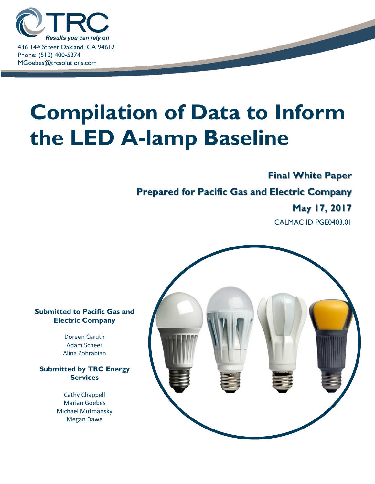

# **Compilation of Data to Inform the LED A-lamp Baseline**

# **Final White Paper**

# **Prepared for Pacific Gas and Electric Company**

# **May 17, 2017**

CALMAC ID PGE0403.01



Doreen Caruth Adam Scheer Alina Zohrabian

**Submitted by TRC Energy Services**

> Cathy Chappell Marian Goebes Michael Mutmansky Megan Dawe

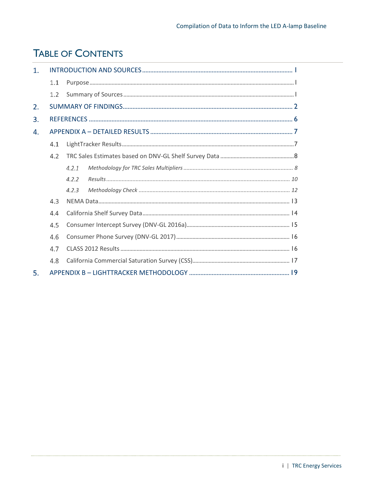# <span id="page-1-0"></span>**TABLE OF CONTENTS**

| $\mathbf{1}$ . |     |       |  |  |  |  |  |  |  |
|----------------|-----|-------|--|--|--|--|--|--|--|
|                | 1.1 |       |  |  |  |  |  |  |  |
|                | 1.2 |       |  |  |  |  |  |  |  |
| 2.             |     |       |  |  |  |  |  |  |  |
| 3.             |     |       |  |  |  |  |  |  |  |
| 4.             |     |       |  |  |  |  |  |  |  |
|                | 4.1 |       |  |  |  |  |  |  |  |
|                | 4.2 |       |  |  |  |  |  |  |  |
|                |     | 4.2.1 |  |  |  |  |  |  |  |
|                |     | 4.2.2 |  |  |  |  |  |  |  |
|                |     | 4.2.3 |  |  |  |  |  |  |  |
|                | 4.3 |       |  |  |  |  |  |  |  |
|                | 4.4 |       |  |  |  |  |  |  |  |
|                | 4.5 |       |  |  |  |  |  |  |  |
|                | 4.6 |       |  |  |  |  |  |  |  |
|                | 4.7 |       |  |  |  |  |  |  |  |
|                | 4.8 |       |  |  |  |  |  |  |  |
| 5.             |     |       |  |  |  |  |  |  |  |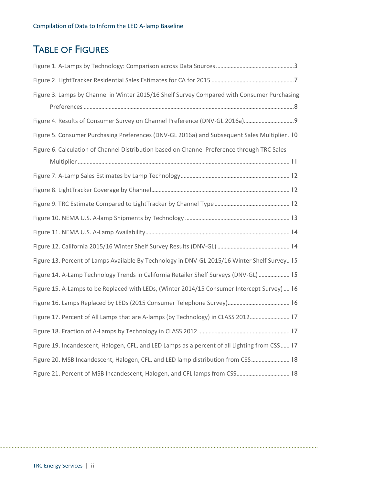# TABLE OF FIGURES

| Figure 3. Lamps by Channel in Winter 2015/16 Shelf Survey Compared with Consumer Purchasing   |  |
|-----------------------------------------------------------------------------------------------|--|
|                                                                                               |  |
|                                                                                               |  |
| Figure 5. Consumer Purchasing Preferences (DNV-GL 2016a) and Subsequent Sales Multiplier. 10  |  |
| Figure 6. Calculation of Channel Distribution based on Channel Preference through TRC Sales   |  |
|                                                                                               |  |
|                                                                                               |  |
|                                                                                               |  |
|                                                                                               |  |
|                                                                                               |  |
|                                                                                               |  |
|                                                                                               |  |
| Figure 13. Percent of Lamps Available By Technology in DNV-GL 2015/16 Winter Shelf Survey 15  |  |
| Figure 14. A-Lamp Technology Trends in California Retailer Shelf Surveys (DNV-GL)  15         |  |
| Figure 15. A-Lamps to be Replaced with LEDs, (Winter 2014/15 Consumer Intercept Survey)  16   |  |
|                                                                                               |  |
| Figure 17. Percent of All Lamps that are A-lamps (by Technology) in CLASS 2012 17             |  |
|                                                                                               |  |
| Figure 19. Incandescent, Halogen, CFL, and LED Lamps as a percent of all Lighting from CSS 17 |  |
| Figure 20. MSB Incandescent, Halogen, CFL, and LED lamp distribution from CSS 18              |  |
|                                                                                               |  |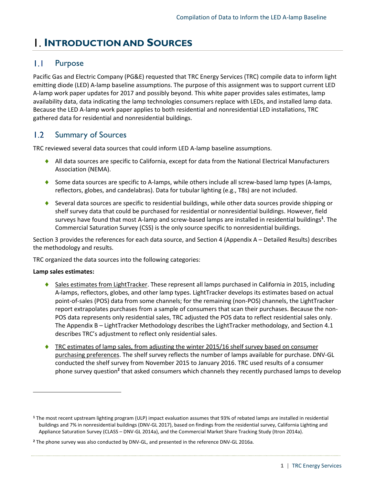# <span id="page-3-0"></span>**I**. INTRODUCTION AND SOURCES

#### <span id="page-3-1"></span> $\mathbf{I}$ .  $\mathbf{I}$ Purpose

Pacific Gas and Electric Company (PG&E) requested that TRC Energy Services (TRC) compile data to inform light emitting diode (LED) A-lamp baseline assumptions. The purpose of this assignment was to support current LED A-lamp work paper updates for 2017 and possibly beyond. This white paper provides sales estimates, lamp availability data, data indicating the lamp technologies consumers replace with LEDs, and installed lamp data. Because the LED A-lamp work paper applies to both residential and nonresidential LED installations, TRC gathered data for residential and nonresidential buildings.

#### <span id="page-3-2"></span> $1.2$ Summary of Sources

TRC reviewed several data sources that could inform LED A-lamp baseline assumptions.

- All data sources are specific to California, except for data from the National Electrical Manufacturers Association (NEMA).
- $\bullet$  Some data sources are specific to A-lamps, while others include all screw-based lamp types (A-lamps, reflectors, globes, and candelabras). Data for tubular lighting (e.g., T8s) are not included.
- $\bullet$  Several data sources are specific to residential buildings, while other data sources provide shipping or shelf survey data that could be purchased for residential or nonresidential buildings. However, field surveys have found that most A-lamp and screw-based lamps are installed in residential buildings**<sup>1</sup>** . The Commercial Saturation Survey (CSS) is the only source specific to nonresidential buildings.

Sectio[n 3](#page-8-0) provides the references for each data source, and Sectio[n 4](#page-9-0) (Appendix A – [Detailed Results\)](#page-9-0) describes the methodology and results.

TRC organized the data sources into the following categories:

### **Lamp sales estimates:**

 $\overline{\phantom{a}}$ 

- Sales estimates from LightTracker. These represent all lamps purchased in California in 2015, including A-lamps, reflectors, globes, and other lamp types. LightTracker develops its estimates based on actual point-of-sales (POS) data from some channels; for the remaining (non-POS) channels, the LightTracker report extrapolates purchases from a sample of consumers that scan their purchases. Because the non-POS data represents only residential sales, TRC adjusted the POS data to reflect residential sales only. The Appendix B – [LightTracker Methodology](#page-21-0) describes the LightTracker methodology, and Section [4.1](#page-9-1) describes TRC's adjustment to reflect only residential sales.
- TRC estimates of lamp sales, from adjusting the winter 2015/16 shelf survey based on consumer purchasing preferences. The shelf survey reflects the number of lamps available for purchase. DNV-GL conducted the shelf survey from November 2015 to January 2016. TRC used results of a consumer phone survey question<sup>2</sup> that asked consumers which channels they recently purchased lamps to develop

**<sup>1</sup>** The most recent upstream lighting program (ULP) impact evaluation assumes that 93% of rebated lamps are installed in residential buildings and 7% in nonresidential buildings (DNV-GL 2017), based on findings from the residential survey, California Lighting and Appliance Saturation Survey (CLASS – DNV-GL 2014a), and the Commercial Market Share Tracking Study (Itron 2014a).

**<sup>2</sup>** The phone survey was also conducted by DNV-GL, and presented in the reference DNV-GL 2016a.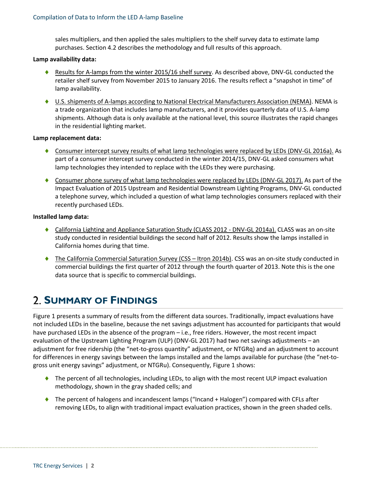sales multipliers, and then applied the sales multipliers to the shelf survey data to estimate lamp purchases. Section [4.2](#page-10-0) describes the methodology and full results of this approach.

### **Lamp availability data:**

- Results for A-lamps from the winter 2015/16 shelf survey. As described above, DNV-GL conducted the retailer shelf survey from November 2015 to January 2016. The results reflect a "snapshot in time" of lamp availability.
- U.S. shipments of A-lamps according to National Electrical Manufacturers Association (NEMA). NEMA is a trade organization that includes lamp manufacturers, and it provides quarterly data of U.S. A-lamp shipments. Although data is only available at the national level, this source illustrates the rapid changes in the residential lighting market.

### **Lamp replacement data:**

- ◆ Consumer intercept survey results of what lamp technologies were replaced by LEDs (DNV-GL 2016a). As part of a consumer intercept survey conducted in the winter 2014/15, DNV-GL asked consumers what lamp technologies they intended to replace with the LEDs they were purchasing.
- Consumer phone survey of what lamp technologies were replaced by LEDs (DNV-GL 2017). As part of the Impact Evaluation of 2015 Upstream and Residential Downstream Lighting Programs, DNV-GL conducted a telephone survey, which included a question of what lamp technologies consumers replaced with their recently purchased LEDs.

### **Installed lamp data:**

- ◆ California Lighting and Appliance Saturation Study (CLASS 2012 DNV-GL 2014a). CLASS was an on-site study conducted in residential buildings the second half of 2012. Results show the lamps installed in California homes during that time.
- ◆ The California Commercial Saturation Survey (CSS Itron 2014b). CSS was an on-site study conducted in commercial buildings the first quarter of 2012 through the fourth quarter of 2013. Note this is the one data source that is specific to commercial buildings.

# <span id="page-4-0"></span>**SUMMARY OF FINDINGS**

[Figure 1](#page-5-0) presents a summary of results from the different data sources. Traditionally, impact evaluations have not included LEDs in the baseline, because the net savings adjustment has accounted for participants that would have purchased LEDs in the absence of the program – i.e., free riders. However, the most recent impact evaluation of the Upstream Lighting Program (ULP) (DNV-GL 2017) had two net savings adjustments – an adjustment for free ridership (the "net-to-gross quantity" adjustment, or NTGRq) and an adjustment to account for differences in energy savings between the lamps installed and the lamps available for purchase (the "net-togross unit energy savings" adjustment, or NTGRu). Consequently, [Figure 1](#page-5-0) shows:

- ◆ The percent of all technologies, including LEDs, to align with the most recent ULP impact evaluation methodology, shown in the gray shaded cells; and
- <span id="page-4-1"></span>◆ The percent of halogens and incandescent lamps ("Incand + Halogen") compared with CFLs after removing LEDs, to align with traditional impact evaluation practices, shown in the green shaded cells.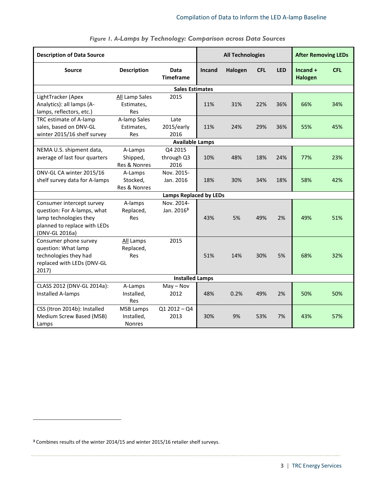<span id="page-5-0"></span>

| <b>Description of Data Source</b>                                                                                                    |                                                 | <b>All Technologies</b>              | <b>After Removing LEDs</b> |         |            |            |                              |            |
|--------------------------------------------------------------------------------------------------------------------------------------|-------------------------------------------------|--------------------------------------|----------------------------|---------|------------|------------|------------------------------|------------|
| <b>Description</b><br><b>Source</b>                                                                                                  |                                                 | Data<br><b>Timeframe</b>             | <b>Incand</b>              | Halogen | <b>CFL</b> | <b>LED</b> | $Incand +$<br><b>Halogen</b> | <b>CFL</b> |
|                                                                                                                                      |                                                 | <b>Sales Estimates</b>               |                            |         |            |            |                              |            |
| LightTracker (Apex<br>Analytics): all lamps (A-<br>lamps, reflectors, etc.)                                                          | All Lamp Sales<br>Estimates,<br>Res             | 2015                                 | 11%                        | 31%     | 22%        | 36%        | 66%                          | 34%        |
| TRC estimate of A-lamp<br>sales, based on DNV-GL<br>winter 2015/16 shelf survey                                                      | A-lamp Sales<br>Estimates,<br>Res               | Late<br>2015/early<br>2016           | 11%                        | 24%     | 29%        | 36%        | 55%                          | 45%        |
|                                                                                                                                      |                                                 | <b>Available Lamps</b>               |                            |         |            |            |                              |            |
| NEMA U.S. shipment data,<br>average of last four quarters                                                                            | A-Lamps<br>Shipped,<br>Res & Nonres             | Q4 2015<br>through Q3<br>2016        | 10%                        | 48%     | 18%        | 24%        | 77%                          | 23%        |
| DNV-GL CA winter 2015/16<br>shelf survey data for A-lamps                                                                            | A-Lamps<br>Stocked,<br>Res & Nonres             | Nov. 2015-<br>Jan. 2016              | 18%                        | 30%     | 34%        | 18%        | 58%                          | 42%        |
|                                                                                                                                      |                                                 | <b>Lamps Replaced by LEDs</b>        |                            |         |            |            |                              |            |
| Consumer intercept survey<br>question: For A-lamps, what<br>lamp technologies they<br>planned to replace with LEDs<br>(DNV-GL 2016a) | A-lamps<br>Replaced,<br><b>Res</b>              | Nov. 2014-<br>Jan. 2016 <sup>3</sup> | 43%                        | 5%      | 49%        | 2%         | 49%                          | 51%        |
| Consumer phone survey<br>question: What lamp<br>technologies they had<br>replaced with LEDs (DNV-GL<br>2017)                         | All Lamps<br>Replaced,<br><b>Res</b>            | 2015                                 | 51%                        | 14%     | 30%        | 5%         | 68%                          | 32%        |
|                                                                                                                                      |                                                 | <b>Installed Lamps</b>               |                            |         |            |            |                              |            |
| CLASS 2012 (DNV-GL 2014a):<br>Installed A-lamps                                                                                      | A-Lamps<br>Installed,<br><b>Res</b>             | $May - Nov$<br>2012                  | 48%                        | 0.2%    | 49%        | 2%         | 50%                          | 50%        |
| CSS (Itron 2014b): Installed<br>Medium Screw Based (MSB)<br>Lamps                                                                    | <b>MSB Lamps</b><br>Installed,<br><b>Nonres</b> | $Q12012 - Q4$<br>2013                | 30%                        | 9%      | 53%        | 7%         | 43%                          | 57%        |

 $\overline{\phantom{a}}$ 

*Figure 1. A-Lamps by Technology: Comparison across Data Sources*

**<sup>3</sup>** Combines results of the winter 2014/15 and winter 2015/16 retailer shelf surveys.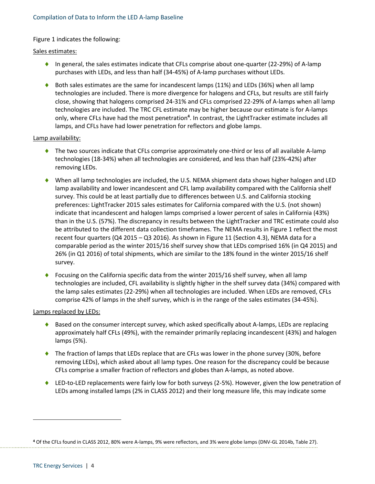### [Figure](#page-4-1) 1 indicates the following:

### Sales estimates:

- $\bullet$  In general, the sales estimates indicate that CFLs comprise about one-quarter (22-29%) of A-lamp purchases with LEDs, and less than half (34-45%) of A-lamp purchases without LEDs.
- $\bullet$  Both sales estimates are the same for incandescent lamps (11%) and LEDs (36%) when all lamp technologies are included. There is more divergence for halogens and CFLs, but results are still fairly close, showing that halogens comprised 24-31% and CFLs comprised 22-29% of A-lamps when all lamp technologies are included. The TRC CFL estimate may be higher because our estimate is for A-lamps only, where CFLs have had the most penetration**<sup>4</sup>** . In contrast, the LightTracker estimate includes all lamps, and CFLs have had lower penetration for reflectors and globe lamps.

### Lamp availability:

- ◆ The two sources indicate that CFLs comprise approximately one-third or less of all available A-lamp technologies (18-34%) when all technologies are considered, and less than half (23%-42%) after removing LEDs.
- When all lamp technologies are included, the U.S. NEMA shipment data shows higher halogen and LED lamp availability and lower incandescent and CFL lamp availability compared with the California shelf survey. This could be at least partially due to differences between U.S. and California stocking preferences: LightTracker 2015 sales estimates for California compared with the U.S. (not shown) indicate that incandescent and halogen lamps comprised a lower percent of sales in California (43%) than in the U.S. (57%). The discrepancy in results between the LightTracker and TRC estimate could also be attributed to the different data collection timeframes. The NEMA results in [Figure 1](#page-5-0) reflect the most recent four quarters (Q4 2015 – Q3 2016). As shown in [Figure 11](#page-16-1) (Sectio[n 4.3\)](#page-15-0), NEMA data for a comparable period as the winter 2015/16 shelf survey show that LEDs comprised 16% (in Q4 2015) and 26% (in Q1 2016) of total shipments, which are similar to the 18% found in the winter 2015/16 shelf survey.
- ◆ Focusing on the California specific data from the winter 2015/16 shelf survey, when all lamp technologies are included, CFL availability is slightly higher in the shelf survey data (34%) compared with the lamp sales estimates (22-29%) when all technologies are included. When LEDs are removed, CFLs comprise 42% of lamps in the shelf survey, which is in the range of the sales estimates (34-45%).

### Lamps replaced by LEDs:

- ♦ Based on the consumer intercept survey, which asked specifically about A-lamps, LEDs are replacing approximately half CFLs (49%), with the remainder primarily replacing incandescent (43%) and halogen lamps (5%).
- ◆ The fraction of lamps that LEDs replace that are CFLs was lower in the phone survey (30%, before removing LEDs), which asked about all lamp types. One reason for the discrepancy could be because CFLs comprise a smaller fraction of reflectors and globes than A-lamps, as noted above.
- LED-to-LED replacements were fairly low for both surveys (2-5%). However, given the low penetration of LEDs among installed lamps (2% in CLASS 2012) and their long measure life, this may indicate some

 $\overline{\phantom{a}}$ 

**<sup>4</sup>** Of the CFLs found in CLASS 2012, 80% were A-lamps, 9% were reflectors, and 3% were globe lamps (DNV-GL 2014b, Table 27).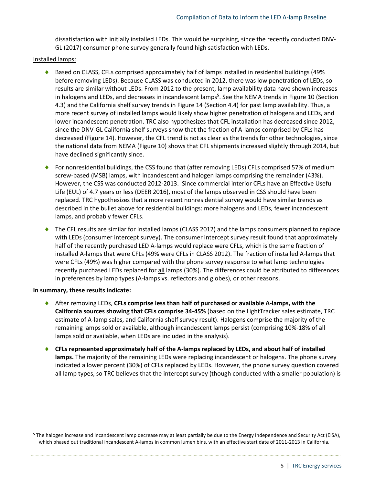dissatisfaction with initially installed LEDs. This would be surprising, since the recently conducted DNV-GL (2017) consumer phone survey generally found high satisfaction with LEDs.

### Installed lamps:

- ♦ Based on CLASS, CFLs comprised approximately half of lamps installed in residential buildings (49% before removing LEDs). Because CLASS was conducted in 2012, there was low penetration of LEDs, so results are similar without LEDs. From 2012 to the present, lamp availability data have shown increases in halogens and LEDs, and decreases in incandescent lamps**<sup>5</sup>** . See the NEMA trends in [Figure 10](#page-15-1) (Section [4.3\)](#page-15-0) and the California shelf survey trends i[n Figure 14](#page-17-2) (Sectio[n 4.4\)](#page-16-0) for past lamp availability. Thus, a more recent survey of installed lamps would likely show higher penetration of halogens and LEDs, and lower incandescent penetration. TRC also hypothesizes that CFL installation has decreased since 2012, since the DNV-GL California shelf surveys show that the fraction of A-lamps comprised by CFLs has decreased [\(Figure 14\)](#page-17-2). However, the CFL trend is not as clear as the trends for other technologies, since the national data from NEMA [\(Figure 10\)](#page-15-1) shows that CFL shipments increased slightly through 2014, but have declined significantly since.
- ◆ For nonresidential buildings, the CSS found that (after removing LEDs) CFLs comprised 57% of medium screw-based (MSB) lamps, with incandescent and halogen lamps comprising the remainder (43%). However, the CSS was conducted 2012-2013. Since commercial interior CFLs have an Effective Useful Life (EUL) of 4.7 years or less (DEER 2016), most of the lamps observed in CSS should have been replaced. TRC hypothesizes that a more recent nonresidential survey would have similar trends as described in the bullet above for residential buildings: more halogens and LEDs, fewer incandescent lamps, and probably fewer CFLs.
- ◆ The CFL results are similar for installed lamps (CLASS 2012) and the lamps consumers planned to replace with LEDs (consumer intercept survey). The consumer intercept survey result found that approximately half of the recently purchased LED A-lamps would replace were CFLs, which is the same fraction of installed A-lamps that were CFLs (49% were CFLs in CLASS 2012). The fraction of installed A-lamps that were CFLs (49%) was higher compared with the phone survey response to what lamp technologies recently purchased LEDs replaced for all lamps (30%). The differences could be attributed to differences in preferences by lamp types (A-lamps vs. reflectors and globes), or other reasons.

### **In summary, these results indicate:**

l

- After removing LEDs, **CFLs comprise less than half of purchased or available A-lamps, with the California sources showing that CFLs comprise 34-45%** (based on the LightTracker sales estimate, TRC estimate of A-lamp sales, and California shelf survey result). Halogens comprise the majority of the remaining lamps sold or available, although incandescent lamps persist (comprising 10%-18% of all lamps sold or available, when LEDs are included in the analysis).
- **CFLs represented approximately half of the A-lamps replaced by LEDs, and about half of installed lamps.** The majority of the remaining LEDs were replacing incandescent or halogens. The phone survey indicated a lower percent (30%) of CFLs replaced by LEDs. However, the phone survey question covered all lamp types, so TRC believes that the intercept survey (though conducted with a smaller population) is

**<sup>5</sup>** The halogen increase and incandescent lamp decrease may at least partially be due to the Energy Independence and Security Act (EISA), which phased out traditional incandescent A-lamps in common lumen bins, with an effective start date of 2011-2013 in California.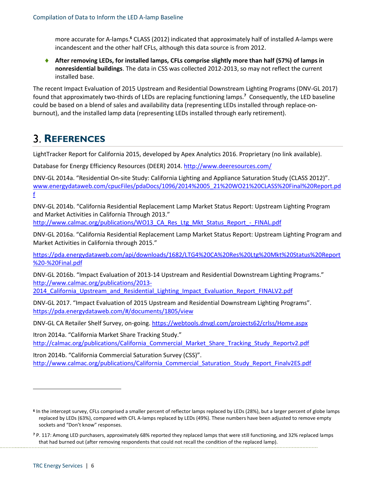more accurate for A-lamps. **<sup>6</sup>** CLASS (2012) indicated that approximately half of installed A-lamps were incandescent and the other half CFLs, although this data source is from 2012.

 **After removing LEDs, for installed lamps, CFLs comprise slightly more than half (57%) of lamps in nonresidential buildings**. The data in CSS was collected 2012-2013, so may not reflect the current installed base.

The recent Impact Evaluation of 2015 Upstream and Residential Downstream Lighting Programs (DNV-GL 2017) found that approximately two-thirds of LEDs are replacing functioning lamps.**<sup>7</sup>** Consequently, the LED baseline could be based on a blend of sales and availability data (representing LEDs installed through replace-onburnout), and the installed lamp data (representing LEDs installed through early retirement).

# <span id="page-8-0"></span>**REFERENCES**

LightTracker Report for California 2015, developed by Apex Analytics 2016. Proprietary (no link available).

Database for Energy Efficiency Resources (DEER) 2014. <http://www.deeresources.com/>

DNV-GL 2014a. "Residential On-site Study: California Lighting and Appliance Saturation Study (CLASS 2012)". [www.energydataweb.com/cpucFiles/pdaDocs/1096/2014%2005\\_21%20WO21%20CLASS%20Final%20Report.pd](http://www.energydataweb.com/cpucFiles/pdaDocs/1096/2014%2005_21%20WO21%20CLASS%20Final%20Report.pdf) [f](http://www.energydataweb.com/cpucFiles/pdaDocs/1096/2014%2005_21%20WO21%20CLASS%20Final%20Report.pdf)

DNV-GL 2014b. "California Residential Replacement Lamp Market Status Report: Upstream Lighting Program and Market Activities in California Through 2013."

[http://www.calmac.org/publications/WO13\\_CA\\_Res\\_Ltg\\_Mkt\\_Status\\_Report\\_-\\_FINAL.pdf](http://www.calmac.org/publications/WO13_CA_Res_Ltg_Mkt_Status_Report_-_FINAL.pdf)

DNV-GL 2016a. "California Residential Replacement Lamp Market Status Report: Upstream Lighting Program and Market Activities in California through 2015."

[https://pda.energydataweb.com/api/downloads/1682/LTG4%20CA%20Res%20Ltg%20Mkt%20Status%20Report](https://pda.energydataweb.com/api/downloads/1682/LTG4%20CA%20Res%20Ltg%20Mkt%20Status%20Report%20-%20Final.pdf) [%20-%20Final.pdf](https://pda.energydataweb.com/api/downloads/1682/LTG4%20CA%20Res%20Ltg%20Mkt%20Status%20Report%20-%20Final.pdf)

DNV-GL 2016b. "Impact Evaluation of 2013-14 Upstream and Residential Downstream Lighting Programs." [http://www.calmac.org/publications/2013-](http://www.calmac.org/publications/2013-2014_California_Upstream_and_Residential_Lighting_Impact_Evaluation_Report_FINALV2.pdf)

2014 California Upstream\_and\_Residential\_Lighting\_Impact\_Evaluation\_Report\_FINALV2.pdf

DNV-GL 2017. "Impact Evaluation of 2015 Upstream and Residential Downstream Lighting Programs". <https://pda.energydataweb.com/#/documents/1805/view>

DNV-GL CA Retailer Shelf Survey, on-going.<https://webtools.dnvgl.com/projects62/crlss/Home.aspx>

Itron 2014a. "California Market Share Tracking Study." [http://calmac.org/publications/California\\_Commercial\\_Market\\_Share\\_Tracking\\_Study\\_Reportv2.pdf](http://calmac.org/publications/California_Commercial_Market_Share_Tracking_Study_Reportv2.pdf)

Itron 2014b. "California Commercial Saturation Survey (CSS)". [http://www.calmac.org/publications/California\\_Commercial\\_Saturation\\_Study\\_Report\\_Finalv2ES.pdf](http://www.calmac.org/publications/California_Commercial_Saturation_Study_Report_Finalv2ES.pdf)

l

**<sup>6</sup>** In the intercept survey, CFLs comprised a smaller percent of reflector lamps replaced by LEDs (28%), but a larger percent of globe lamps replaced by LEDs (63%), compared with CFL A-lamps replaced by LEDs (49%). These numbers have been adjusted to remove empty sockets and "Don't know" responses.

**<sup>7</sup>** P. 117: Among LED purchasers, approximately 68% reported they replaced lamps that were still functioning, and 32% replaced lamps that had burned out (after removing respondents that could not recall the condition of the replaced lamp).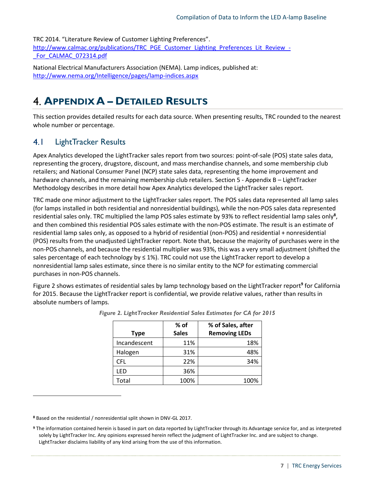TRC 2014. "Literature Review of Customer Lighting Preferences". [http://www.calmac.org/publications/TRC\\_PGE\\_Customer\\_Lighting\\_Preferences\\_Lit\\_Review\\_-](http://www.calmac.org/publications/TRC_PGE_Customer_Lighting_Preferences_Lit_Review_-_For_CALMAC_072314.pdf) For\_CALMAC\_072314.pdf

National Electrical Manufacturers Association (NEMA). Lamp indices, published at: <http://www.nema.org/Intelligence/pages/lamp-indices.aspx>

# <span id="page-9-0"></span>**APPENDIX A – DETAILED RESULTS**

This section provides detailed results for each data source. When presenting results, TRC rounded to the nearest whole number or percentage.

#### <span id="page-9-1"></span> $4.1$ LightTracker Results

Apex Analytics developed the LightTracker sales report from two sources: point-of-sale (POS) state sales data, representing the grocery, drugstore, discount, and mass merchandise channels, and some membership club retailers; and National Consumer Panel (NCP) state sales data, representing the home improvement and hardware channels, and the remaining membership club retailers. Sectio[n 5](#page-21-0) - Appendix B - LightTracker [Methodology](#page-21-0) describes in more detail how Apex Analytics developed the LightTracker sales report.

TRC made one minor adjustment to the LightTracker sales report. The POS sales data represented all lamp sales (for lamps installed in both residential and nonresidential buildings), while the non-POS sales data represented residential sales only. TRC multiplied the lamp POS sales estimate by 93% to reflect residential lamp sales only**<sup>8</sup>** , and then combined this residential POS sales estimate with the non-POS estimate. The result is an estimate of residential lamp sales only, as opposed to a hybrid of residential (non-POS) and residential + nonresidential (POS) results from the unadjusted LightTracker report. Note that, because the majority of purchases were in the non-POS channels, and because the residential multiplier was 93%, this was a very small adjustment (shifted the sales percentage of each technology by  $\leq 1\%$ ). TRC could not use the LightTracker report to develop a nonresidential lamp sales estimate, since there is no similar entity to the NCP for estimating commercial purchases in non-POS channels.

<span id="page-9-2"></span>Figure 2 shows estimates of residential sales by lamp technology based on the LightTracker report<sup>9</sup> for California for 2015. Because the LightTracker report is confidential, we provide relative values, rather than results in absolute numbers of lamps.

|              | $%$ of       | % of Sales, after    |
|--------------|--------------|----------------------|
| <b>Type</b>  | <b>Sales</b> | <b>Removing LEDs</b> |
| Incandescent | 11%          | 18%                  |
| Halogen      | 31%          | 48%                  |
| <b>CFL</b>   | 22%          | 34%                  |
| LFD          | 36%          |                      |
| Total        | 100%         | 100%                 |

 $\overline{\phantom{a}}$ 

**<sup>8</sup>** Based on the residential / nonresidential split shown in DNV-GL 2017.

**<sup>9</sup>** The information contained herein is based in part on data reported by LightTracker through its Advantage service for, and as interpreted solely by LightTracker Inc. Any opinions expressed herein reflect the judgment of LightTracker Inc. and are subject to change. LightTracker disclaims liability of any kind arising from the use of this information.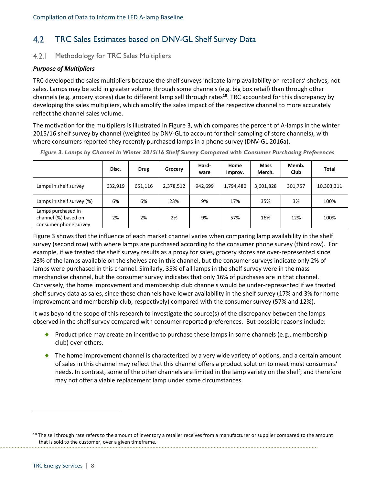#### <span id="page-10-0"></span> $4.2$ TRC Sales Estimates based on DNV-GL Shelf Survey Data

#### <span id="page-10-1"></span> $4.2.1$ Methodology for TRC Sales Multipliers

### *Purpose of Multipliers*

TRC developed the sales multipliers because the shelf surveys indicate lamp availability on retailers' shelves, not sales. Lamps may be sold in greater volume through some channels (e.g. big box retail) than through other channels (e.g. grocery stores) due to different lamp sell through rates**<sup>10</sup>**. TRC accounted for this discrepancy by developing the sales multipliers, which amplify the sales impact of the respective channel to more accurately reflect the channel sales volume.

The motivation for the multipliers is illustrated in [Figure 3,](#page-10-2) which compares the percent of A-lamps in the winter 2015/16 shelf survey by channel (weighted by DNV-GL to account for their sampling of store channels), with where consumers reported they recently purchased lamps in a phone survey (DNV-GL 2016a).

|                                                                     | Disc.   | <b>Drug</b> | Grocery   | Hard-<br>ware | Home<br>Improv. | <b>Mass</b><br>Merch. | Memb.<br>Club | <b>Total</b> |
|---------------------------------------------------------------------|---------|-------------|-----------|---------------|-----------------|-----------------------|---------------|--------------|
| Lamps in shelf survey                                               | 632,919 | 651,116     | 2,378,512 | 942.699       | 1,794,480       | 3,601,828             | 301,757       | 10,303,311   |
| Lamps in shelf survey (%)                                           | 6%      | 6%          | 23%       | 9%            | 17%             | 35%                   | 3%            | 100%         |
| Lamps purchased in<br>channel (%) based on<br>consumer phone survey | 2%      | 2%          | 2%        | 9%            | 57%             | 16%                   | 12%           | 100%         |

<span id="page-10-2"></span>*Figure 3. Lamps by Channel in Winter 2015/16 Shelf Survey Compared with Consumer Purchasing Preferences*

[Figure 3](#page-10-2) shows that the influence of each market channel varies when comparing lamp availability in the shelf survey (second row) with where lamps are purchased according to the consumer phone survey (third row). For example, if we treated the shelf survey results as a proxy for sales, grocery stores are over-represented since 23% of the lamps available on the shelves are in this channel, but the consumer surveys indicate only 2% of lamps were purchased in this channel. Similarly, 35% of all lamps in the shelf survey were in the mass merchandise channel, but the consumer survey indicates that only 16% of purchases are in that channel. Conversely, the home improvement and membership club channels would be under-represented if we treated shelf survey data as sales, since these channels have lower availability in the shelf survey (17% and 3% for home improvement and membership club, respectively) compared with the consumer survey (57% and 12%).

It was beyond the scope of this research to investigate the source(s) of the discrepancy between the lamps observed in the shelf survey compared with consumer reported preferences. But possible reasons include:

- Product price may create an incentive to purchase these lamps in some channels (e.g., membership club) over others.
- The home improvement channel is characterized by a very wide variety of options, and a certain amount of sales in this channel may reflect that this channel offers a product solution to meet most consumers' needs. In contrast, some of the other channels are limited in the lamp variety on the shelf, and therefore may not offer a viable replacement lamp under some circumstances.

l

**<sup>10</sup>** The sell through rate refers to the amount of inventory a retailer receives from a manufacturer or supplier compared to the amount that is sold to the customer, over a given timeframe.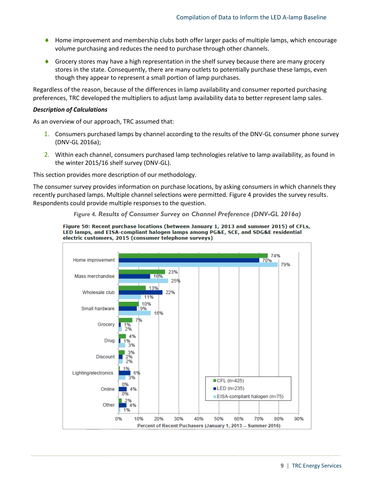- ♦ Home improvement and membership clubs both offer larger packs of multiple lamps, which encourage volume purchasing and reduces the need to purchase through other channels.
- Grocery stores may have a high representation in the shelf survey because there are many grocery stores in the state. Consequently, there are many outlets to potentially purchase these lamps, even though they appear to represent a small portion of lamp purchases.

Regardless of the reason, because of the differences in lamp availability and consumer reported purchasing preferences, TRC developed the multipliers to adjust lamp availability data to better represent lamp sales.

### *Description of Calculations*

As an overview of our approach, TRC assumed that:

- 1. Consumers purchased lamps by channel according to the results of the DNV-GL consumer phone survey (DNV-GL 2016a);
- 2. Within each channel, consumers purchased lamp technologies relative to lamp availability, as found in the winter 2015/16 shelf survey (DNV-GL).

This section provides more description of our methodology.

<span id="page-11-0"></span>The consumer survey provides information on purchase locations, by asking consumers in which channels they recently purchased lamps. Multiple channel selections were permitted. [Figure 4](#page-11-0) provides the survey results. Respondents could provide multiple responses to the question.

*Figure 4. Results of Consumer Survey on Channel Preference (DNV-GL 2016a)*



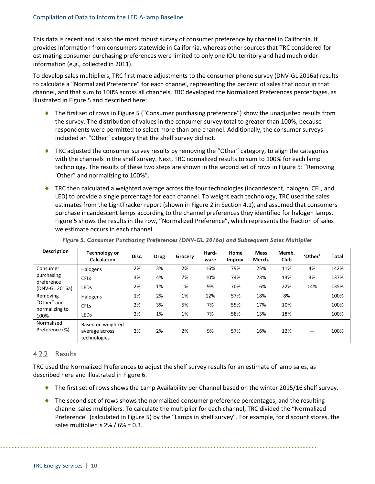This data is recent and is also the most robust survey of consumer preference by channel in California. It provides information from consumers statewide in California, whereas other sources that TRC considered for estimating consumer purchasing preferences were limited to only one IOU territory and had much older information (e.g., collected in 2011).

To develop sales multipliers, TRC first made adjustments to the consumer phone survey (DNV-GL 2016a) results to calculate a "Normalized Preference" for each channel, representing the percent of sales that occur in that channel, and that sum to 100% across all channels. TRC developed the Normalized Preferences percentages, as illustrated i[n Figure 5](#page-12-1) and described here:

- ◆ The first set of rows in [Figure 5](#page-12-1) ("Consumer purchasing preference") show the unadjusted results from the survey. The distribution of values in the consumer survey total to greater than 100%, because respondents were permitted to select more than one channel. Additionally, the consumer surveys included an "Other" category that the shelf survey did not.
- ◆ TRC adjusted the consumer survey results by removing the "Other" category, to align the categories with the channels in the shelf survey. Next, TRC normalized results to sum to 100% for each lamp technology. The results of these two steps are shown in the second set of rows in [Figure 5:](#page-12-1) "Removing 'Other" and normalizing to 100%".
- ◆ TRC then calculated a weighted average across the four technologies (incandescent, halogen, CFL, and LED) to provide a single percentage for each channel. To weight each technology, TRC used the sales estimates from the LightTracker report (shown i[n Figure 2](#page-9-2) in Section [4.1\)](#page-9-1), and assumed that consumers purchase incandescent lamps according to the channel preferences they identified for halogen lamps. [Figure 5](#page-12-1) shows the results in the row, "Normalized Preference", which represents the fraction of sales we estimate occurs in each channel.

<span id="page-12-1"></span>

| <b>Description</b>            | Technology or<br>Calculation                        | Disc. | <b>Drug</b> | Grocery | Hard-<br>ware | Home<br>Improv. | <b>Mass</b><br>Merch. | Memb.<br><b>Club</b> | 'Other' | Total |
|-------------------------------|-----------------------------------------------------|-------|-------------|---------|---------------|-----------------|-----------------------|----------------------|---------|-------|
| Consumer                      | Halogens                                            | 2%    | 3%          | 2%      | 16%           | 79%             | 25%                   | 11%                  | 4%      | 142%  |
| purchasing<br>preference      | <b>CFL<sub>S</sub></b>                              | 3%    | 4%          | 7%      | 10%           | 74%             | 23%                   | 13%                  | 3%      | 137%  |
| (DNV-GL 2016a)                | LEDS                                                | 2%    | 1%          | 1%      | 9%            | 70%             | 16%                   | 22%                  | 14%     | 135%  |
| Removing                      | Halogens                                            | 1%    | 2%          | 1%      | 12%           | 57%             | 18%                   | 8%                   |         | 100%  |
| "Other" and<br>normalizing to | <b>CFL<sub>S</sub></b>                              | 2%    | 3%          | 5%      | 7%            | 55%             | 17%                   | 10%                  |         | 100%  |
| 100%                          | LEDS                                                | 2%    | 1%          | 1%      | 7%            | 58%             | 13%                   | 18%                  |         | 100%  |
| Normalized<br>Preference (%)  | Based on weighted<br>average across<br>technologies | 2%    | 2%          | 2%      | 9%            | 57%             | 16%                   | 12%                  | $---$   | 100%  |

*Figure 5. Consumer Purchasing Preferences (DNV-GL 2016a) and Subsequent Sales Multiplier*

# <span id="page-12-0"></span>4.2.2 Results

TRC used the Normalized Preferences to adjust the shelf survey results for an estimate of lamp sales, as described here and illustrated in [Figure 6.](#page-13-0)

- ◆ The first set of rows shows the Lamp Availability per Channel based on the winter 2015/16 shelf survey.
- $\bullet$  The second set of rows shows the normalized consumer preference percentages, and the resulting channel sales multipliers. To calculate the multiplier for each channel, TRC divided the "Normalized Preference" (calculated in [Figure 5\)](#page-12-1) by the "Lamps in shelf survey". For example, for discount stores, the sales multiplier is  $2\frac{8}{16}$  / 6% = 0.3.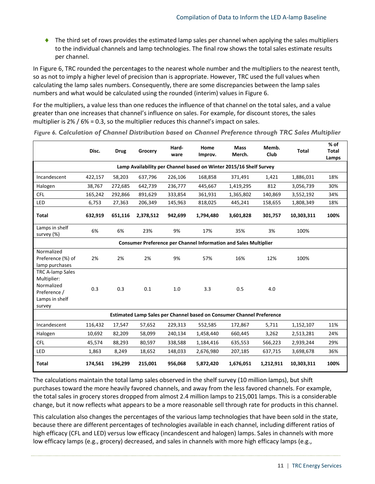◆ The third set of rows provides the estimated lamp sales per channel when applying the sales multipliers to the individual channels and lamp technologies. The final row shows the total sales estimate results per channel.

In [Figure 6,](#page-13-0) TRC rounded the percentages to the nearest whole number and the multipliers to the nearest tenth, so as not to imply a higher level of precision than is appropriate. However, TRC used the full values when calculating the lamp sales numbers. Consequently, there are some discrepancies between the lamp sales numbers and what would be calculated using the rounded (interim) values in [Figure 6.](#page-13-0)

For the multipliers, a value less than one reduces the influence of that channel on the total sales, and a value greater than one increases that channel's influence on sales. For example, for discount stores, the sales multiplier is 2% / 6% = 0.3, so the multiplier reduces this channel's impact on sales.

|                                                                                                  | Hard-<br>Home<br>Disc.<br><b>Drug</b><br>Grocery<br>Improv.<br>ware    |         | <b>Mass</b><br>Merch. | Memb.<br>Club | <b>Total</b> | $%$ of<br><b>Total</b><br>Lamps                                       |           |            |      |  |  |  |  |
|--------------------------------------------------------------------------------------------------|------------------------------------------------------------------------|---------|-----------------------|---------------|--------------|-----------------------------------------------------------------------|-----------|------------|------|--|--|--|--|
|                                                                                                  | Lamp Availability per Channel based on Winter 2015/16 Shelf Survey     |         |                       |               |              |                                                                       |           |            |      |  |  |  |  |
| Incandescent                                                                                     | 422,157<br>58,203<br>637,796<br>226,106<br>371,491<br>168,858<br>1,421 |         |                       | 1,886,031     | 18%          |                                                                       |           |            |      |  |  |  |  |
| Halogen                                                                                          | 38,767                                                                 | 272,685 | 642,739               | 236,777       | 445,667      | 1,419,295                                                             | 812       | 3,056,739  | 30%  |  |  |  |  |
| CFL                                                                                              | 165,242                                                                | 292,866 | 891,629               | 333,854       | 361,931      | 1,365,802                                                             | 140,869   | 3,552,192  | 34%  |  |  |  |  |
| <b>LED</b>                                                                                       | 6,753                                                                  | 27,363  | 206,349               | 145,963       | 818,025      | 445,241                                                               | 158,655   | 1,808,349  | 18%  |  |  |  |  |
| <b>Total</b>                                                                                     | 632,919                                                                | 651,116 | 2,378,512             | 942,699       | 1,794,480    | 3,601,828                                                             | 301,757   | 10,303,311 | 100% |  |  |  |  |
| Lamps in shelf<br>survey (%)                                                                     | 6%                                                                     | 6%      | 23%                   | 9%            | 17%          | 35%                                                                   | 3%        | 100%       |      |  |  |  |  |
|                                                                                                  | Consumer Preference per Channel Information and Sales Multiplier       |         |                       |               |              |                                                                       |           |            |      |  |  |  |  |
| Normalized<br>Preference (%) of<br>lamp purchases                                                | 2%                                                                     | 2%      | 2%                    | 9%            | 57%          | 16%                                                                   | 12%       | 100%       |      |  |  |  |  |
| <b>TRC A-lamp Sales</b><br>Multiplier:<br>Normalized<br>Preference /<br>Lamps in shelf<br>survey | 0.3                                                                    | 0.3     | 0.1                   | 1.0           | 3.3          | 0.5                                                                   | 4.0       |            |      |  |  |  |  |
|                                                                                                  |                                                                        |         |                       |               |              | Estimated Lamp Sales per Channel based on Consumer Channel Preference |           |            |      |  |  |  |  |
| Incandescent                                                                                     | 116,432                                                                | 17,547  | 57,652                | 229,313       | 552,585      | 172,867                                                               | 5,711     | 1,152,107  | 11%  |  |  |  |  |
| Halogen                                                                                          | 10,692                                                                 | 82,209  | 58,099                | 240,134       | 1,458,440    | 660,445                                                               | 3,262     | 2,513,281  | 24%  |  |  |  |  |
| <b>CFL</b>                                                                                       | 45,574                                                                 | 88,293  | 80,597                | 338,588       | 1,184,416    | 635,553                                                               | 566,223   | 2,939,244  | 29%  |  |  |  |  |
| LED                                                                                              | 1,863                                                                  | 8,249   | 18,652                | 148,033       | 2,676,980    | 207,185                                                               | 637,715   | 3,698,678  | 36%  |  |  |  |  |
| Total                                                                                            | 174,561                                                                | 196,299 | 215,001               | 956,068       | 5,872,420    | 1,676,051                                                             | 1,212,911 | 10,303,311 | 100% |  |  |  |  |

<span id="page-13-0"></span>*Figure 6. Calculation of Channel Distribution based on Channel Preference through TRC Sales Multiplier*

The calculations maintain the total lamp sales observed in the shelf survey (10 million lamps), but shift purchases toward the more heavily favored channels, and away from the less favored channels. For example, the total sales in grocery stores dropped from almost 2.4 million lamps to 215,001 lamps. This is a considerable change, but it now reflects what appears to be a more reasonable sell through rate for products in this channel.

This calculation also changes the percentages of the various lamp technologies that have been sold in the state, because there are different percentages of technologies available in each channel, including different ratios of high efficacy (CFL and LED) versus low efficacy (incandescent and halogen) lamps. Sales in channels with more low efficacy lamps (e.g., grocery) decreased, and sales in channels with more high efficacy lamps (e.g.,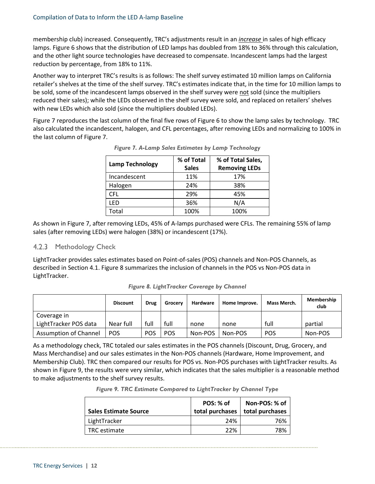membership club) increased. Consequently, TRC's adjustments result in an *increase* in sales of high efficacy lamps. [Figure 6](#page-13-0) shows that the distribution of LED lamps has doubled from 18% to 36% through this calculation, and the other light source technologies have decreased to compensate. Incandescent lamps had the largest reduction by percentage, from 18% to 11%.

Another way to interpret TRC's results is as follows: The shelf survey estimated 10 million lamps on California retailer's shelves at the time of the shelf survey. TRC's estimates indicate that, in the time for 10 million lamps to be sold, some of the incandescent lamps observed in the shelf survey were not sold (since the multipliers reduced their sales); while the LEDs observed in the shelf survey were sold, and replaced on retailers' shelves with new LEDs which also sold (since the multipliers doubled LEDs).

<span id="page-14-1"></span>[Figure 7](#page-14-1) reproduces the last column of the final five rows of [Figure 6](#page-13-0) to show the lamp sales by technology. TRC also calculated the incandescent, halogen, and CFL percentages, after removing LEDs and normalizing to 100% in the last column of [Figure 7.](#page-14-1)

|                        | % of Total   | % of Total Sales,    |
|------------------------|--------------|----------------------|
| <b>Lamp Technology</b> | <b>Sales</b> | <b>Removing LEDs</b> |
| Incandescent           | 11%          | 17%                  |
| Halogen                | 24%          | 38%                  |
| CFL                    | 29%          | 45%                  |
| LFD                    | 36%          | N/A                  |
| Total                  | 100%         | 100%                 |

*Figure 7. A-Lamp Sales Estimates by Lamp Technology* 

As shown in [Figure 7,](#page-14-1) after removing LEDs, 45% of A-lamps purchased were CFLs. The remaining 55% of lamp sales (after removing LEDs) were halogen (38%) or incandescent (17%).

# <span id="page-14-0"></span>4.2.3 Methodology Check

LightTracker provides sales estimates based on Point-of-sales (POS) channels and Non-POS Channels, as described in Sectio[n 4.1.](#page-9-1) [Figure 8](#page-14-2) summarizes the inclusion of channels in the POS vs Non-POS data in LightTracker.

<span id="page-14-2"></span>

|                       | <b>Discount</b> | Drug       | Grocery    | <b>Hardware</b> | Home Improve. | Mass Merch. | Membership<br>club |
|-----------------------|-----------------|------------|------------|-----------------|---------------|-------------|--------------------|
| Coverage in           |                 |            |            |                 |               |             |                    |
| LightTracker POS data | Near full       | full       | full       | none            | none          | full        | partial            |
| Assumption of Channel | <b>POS</b>      | <b>POS</b> | <b>POS</b> | Non-POS         | Non-POS       | <b>POS</b>  | Non-POS            |

*Figure 8. LightTracker Coverage by Channel*

<span id="page-14-3"></span>As a methodology check, TRC totaled our sales estimates in the POS channels (Discount, Drug, Grocery, and Mass Merchandise) and our sales estimates in the Non-POS channels (Hardware, Home Improvement, and Membership Club). TRC then compared our results for POS vs. Non-POS purchases with LightTracker results. As shown in [Figure 9,](#page-14-3) the results were very similar, which indicates that the sales multiplier is a reasonable method to make adjustments to the shelf survey results.

*Figure 9. TRC Estimate Compared to LightTracker by Channel Type*

| <b>Sales Estimate Source</b> | POS: % of<br>total purchases | Non-POS: % of<br>total purchases |
|------------------------------|------------------------------|----------------------------------|
| LightTracker                 | 24%                          | 76%                              |
| TRC estimate                 | 22%                          | 78%                              |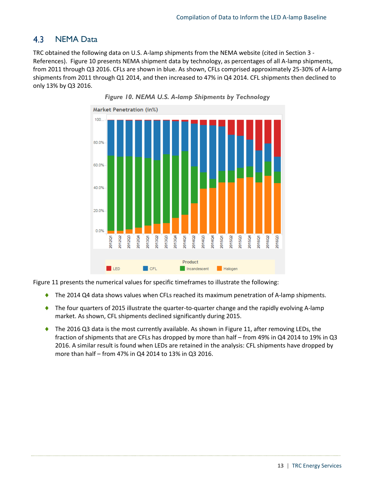#### <span id="page-15-0"></span> $4.3$ NEMA Data

<span id="page-15-1"></span>TRC obtained the following data on U.S. A-lamp shipments from the NEMA website (cited in Section [3](#page-8-0) - References). [Figure 10](#page-15-1) presents NEMA shipment data by technology, as percentages of all A-lamp shipments, from 2011 through Q3 2016. CFLs are shown in blue. As shown, CFLs comprised approximately 25-30% of A-lamp shipments from 2011 through Q1 2014, and then increased to 47% in Q4 2014. CFL shipments then declined to only 13% by Q3 2016.





[Figure 11](#page-16-1) presents the numerical values for specific timeframes to illustrate the following:

- ◆ The 2014 Q4 data shows values when CFLs reached its maximum penetration of A-lamp shipments.
- The four quarters of 2015 illustrate the quarter-to-quarter change and the rapidly evolving A-lamp market. As shown, CFL shipments declined significantly during 2015.
- ◆ The 2016 Q3 data is the most currently available. As shown i[n Figure 11,](#page-16-1) after removing LEDs, the fraction of shipments that are CFLs has dropped by more than half – from 49% in Q4 2014 to 19% in Q3 2016. A similar result is found when LEDs are retained in the analysis: CFL shipments have dropped by more than half – from 47% in Q4 2014 to 13% in Q3 2016.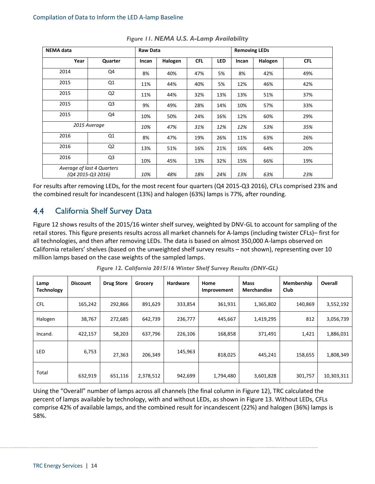<span id="page-16-1"></span>

| <b>NEMA</b> data                                | <b>Raw Data</b> |       |         |            | <b>Removing LEDs</b> |       |         |            |
|-------------------------------------------------|-----------------|-------|---------|------------|----------------------|-------|---------|------------|
| Year                                            | Quarter         | Incan | Halogen | <b>CFL</b> | <b>LED</b>           | Incan | Halogen | <b>CFL</b> |
| 2014                                            | Q4              | 8%    | 40%     | 47%        | 5%                   | 8%    | 42%     | 49%        |
| 2015                                            | Q1              | 11%   | 44%     | 40%        | 5%                   | 12%   | 46%     | 42%        |
| 2015                                            | Q <sub>2</sub>  | 11%   | 44%     | 32%        | 13%                  | 13%   | 51%     | 37%        |
| 2015                                            | Q <sub>3</sub>  | 9%    | 49%     | 28%        | 14%                  | 10%   | 57%     | 33%        |
| 2015                                            | Q4              | 10%   | 50%     | 24%        | 16%                  | 12%   | 60%     | 29%        |
|                                                 | 2015 Average    | 10%   | 47%     | 31%        | 12%                  | 12%   | 53%     | 35%        |
| 2016                                            | Q1              | 8%    | 47%     | 19%        | 26%                  | 11%   | 63%     | 26%        |
| 2016                                            | Q <sub>2</sub>  | 13%   | 51%     | 16%        | 21%                  | 16%   | 64%     | 20%        |
| 2016                                            | Q <sub>3</sub>  | 10%   | 45%     | 13%        | 32%                  | 15%   | 66%     | 19%        |
| Average of last 4 Quarters<br>(Q4 2015-Q3 2016) |                 | 10%   | 48%     | 18%        | 24%                  | 13%   | 63%     | 23%        |

|  |  |  |  | Figure 11. NEMA U.S. A-Lamp Availability |
|--|--|--|--|------------------------------------------|
|--|--|--|--|------------------------------------------|

For results after removing LEDs, for the most recent four quarters (Q4 2015-Q3 2016), CFLs comprised 23% and the combined result for incandescent (13%) and halogen (63%) lamps is 77%, after rounding.

#### <span id="page-16-0"></span>4.4 California Shelf Survey Data

[Figure 12](#page-16-2) shows results of the 2015/16 winter shelf survey, weighted by DNV-GL to account for sampling of the retail stores. This figure presents results across all market channels for A-lamps (including twister CFLs)– first for all technologies, and then after removing LEDs. The data is based on almost 350,000 A-lamps observed on California retailers' shelves (based on the unweighted shelf survey results – not shown), representing over 10 million lamps based on the case weights of the sampled lamps.

<span id="page-16-2"></span>

| Lamp<br><b>Technology</b> | <b>Discount</b> | <b>Drug Store</b> | Grocery   | <b>Hardware</b> | Home<br>Improvement | Mass<br><b>Merchandise</b> | Membership<br>Club | Overall    |
|---------------------------|-----------------|-------------------|-----------|-----------------|---------------------|----------------------------|--------------------|------------|
| <b>CFL</b>                | 165,242         | 292,866           | 891,629   | 333,854         | 361,931             | 1,365,802                  | 140,869            | 3,552,192  |
| Halogen                   | 38,767          | 272,685           | 642,739   | 236,777         | 445,667             | 1,419,295                  | 812                | 3,056,739  |
| Incand.                   | 422,157         | 58,203            | 637,796   | 226,106         | 168,858             | 371,491                    | 1,421              | 1,886,031  |
| <b>LED</b>                | 6,753           | 27,363            | 206,349   | 145,963         | 818,025             | 445,241                    | 158,655            | 1,808,349  |
| Total                     | 632,919         | 651,116           | 2,378,512 | 942,699         | 1,794,480           | 3,601,828                  | 301,757            | 10,303,311 |

*Figure 12. California 2015/16 Winter Shelf Survey Results (DNV-GL)*

Using the "Overall" number of lamps across all channels (the final column in [Figure 12\)](#page-16-2), TRC calculated the percent of lamps available by technology, with and without LEDs, as shown i[n Figure 13.](#page-17-1) Without LEDs, CFLs comprise 42% of available lamps, and the combined result for incandescent (22%) and halogen (36%) lamps is 58%.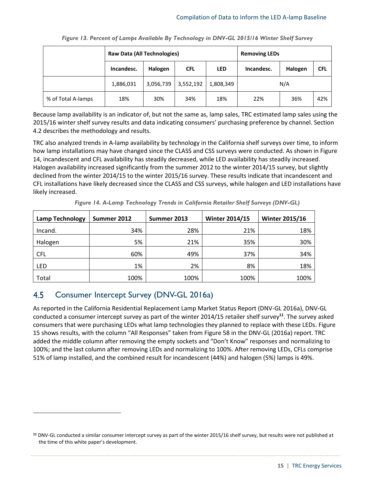<span id="page-17-1"></span>

|                    | <b>Raw Data (All Technologies)</b> |           |            |            | <b>Removing LEDs</b> |         |            |  |
|--------------------|------------------------------------|-----------|------------|------------|----------------------|---------|------------|--|
|                    | Incandesc.                         | Halogen   | <b>CFL</b> | <b>LED</b> | Incandesc.           | Halogen | <b>CFL</b> |  |
|                    | 1,886,031                          | 3,056,739 | 3,552,192  | 1,808,349  | N/A                  |         |            |  |
| % of Total A-lamps | 18%                                | 30%       | 34%        | 18%        | 22%                  | 36%     | 42%        |  |

| Figure 13. Percent of Lamps Available By Technology in DNV-GL 2015/16 Winter Shelf Survey |  |  |  |
|-------------------------------------------------------------------------------------------|--|--|--|
|-------------------------------------------------------------------------------------------|--|--|--|

Because lamp availability is an indicator of, but not the same as, lamp sales, TRC estimated lamp sales using the 2015/16 winter shelf survey results and data indicating consumers' purchasing preference by channel. Section [4.2](#page-10-0) describes the methodology and results.

TRC also analyzed trends in A-lamp availability by technology in the California shelf surveys over time, to inform how lamp installations may have changed since the CLASS and CSS surveys were conducted. As shown in [Figure](#page-17-2)  [14,](#page-17-2) incandescent and CFL availability has steadily decreased, while LED availability has steadily increased. Halogen availability increased significantly from the summer 2012 to the winter 2014/15 survey, but slightly declined from the winter 2014/15 to the winter 2015/16 survey. These results indicate that incandescent and CFL installations have likely decreased since the CLASS and CSS surveys, while halogen and LED installations have likely increased.

<span id="page-17-2"></span>

| <b>Lamp Technology</b> | Summer 2012 | Summer 2013 | <b>Winter 2014/15</b> | <b>Winter 2015/16</b> |  |
|------------------------|-------------|-------------|-----------------------|-----------------------|--|
| Incand.                | 34%         | 28%         | 21%                   | 18%                   |  |
| Halogen                | 5%          | 21%         | 35%                   | 30%                   |  |
| <b>CFL</b>             | 60%         | 49%         | 37%                   | 34%                   |  |
| <b>LED</b>             | 1%          | 2%          | 8%                    | 18%                   |  |
| Total                  | 100%        | 100%        | 100%                  | 100%                  |  |

*Figure 14. A-Lamp Technology Trends in California Retailer Shelf Surveys (DNV-GL)*

#### <span id="page-17-0"></span>4.5 Consumer Intercept Survey (DNV-GL 2016a)

l

As reported in the California Residential Replacement Lamp Market Status Report (DNV-GL 2016a), DNV-GL conducted a consumer intercept survey as part of the winter 2014/15 retailer shelf survey**<sup>11</sup>**. The survey asked consumers that were purchasing LEDs what lamp technologies they planned to replace with these LEDs. [Figure](#page-18-2)  [15](#page-18-2) shows results, with the column "All Responses" taken from Figure 58 in the DNV-GL (2016a) report. TRC added the middle column after removing the empty sockets and "Don't Know" responses and normalizing to 100%; and the last column after removing LEDs and normalizing to 100%. After removing LEDs, CFLs comprise 51% of lamp installed, and the combined result for incandescent (44%) and halogen (5%) lamps is 49%.

**<sup>11</sup>** DNV-GL conducted a similar consumer intercept survey as part of the winter 2015/16 shelf survey, but results were not published at the time of this white paper's development.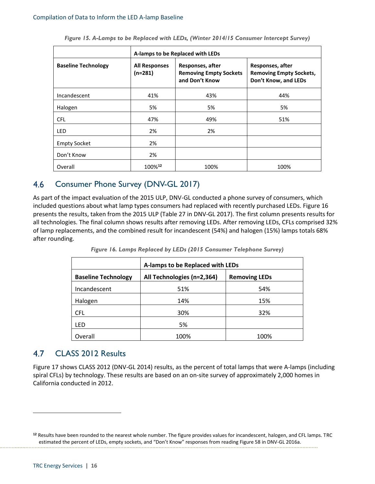<span id="page-18-2"></span>

|                            | A-lamps to be Replaced with LEDs                                                                         |      |                                                                            |  |  |  |  |  |  |
|----------------------------|----------------------------------------------------------------------------------------------------------|------|----------------------------------------------------------------------------|--|--|--|--|--|--|
| <b>Baseline Technology</b> | Responses, after<br><b>All Responses</b><br>$(n=281)$<br><b>Removing Empty Sockets</b><br>and Don't Know |      | Responses, after<br><b>Removing Empty Sockets,</b><br>Don't Know, and LEDs |  |  |  |  |  |  |
| Incandescent               | 41%                                                                                                      | 43%  | 44%                                                                        |  |  |  |  |  |  |
| Halogen                    | 5%                                                                                                       | 5%   | 5%                                                                         |  |  |  |  |  |  |
| <b>CFL</b>                 | 47%                                                                                                      | 49%  | 51%                                                                        |  |  |  |  |  |  |
| LED                        | 2%                                                                                                       | 2%   |                                                                            |  |  |  |  |  |  |
| <b>Empty Socket</b>        | 2%                                                                                                       |      |                                                                            |  |  |  |  |  |  |
| Don't Know                 | 2%                                                                                                       |      |                                                                            |  |  |  |  |  |  |
| Overall                    | 100%12                                                                                                   | 100% | 100%                                                                       |  |  |  |  |  |  |

*Figure 15. A-Lamps to be Replaced with LEDs, (Winter 2014/15 Consumer Intercept Survey)*

#### <span id="page-18-0"></span>4.6 Consumer Phone Survey (DNV-GL 2017)

As part of the impact evaluation of the 2015 ULP, DNV-GL conducted a phone survey of consumers, which included questions about what lamp types consumers had replaced with recently purchased LEDs[. Figure 16](#page-18-3) presents the results, taken from the 2015 ULP (Table 27 in DNV-GL 2017). The first column presents results for all technologies. The final column shows results after removing LEDs. After removing LEDs, CFLs comprised 32% of lamp replacements, and the combined result for incandescent (54%) and halogen (15%) lamps totals 68% after rounding.

<span id="page-18-3"></span>

|                            | A-lamps to be Replaced with LEDs |                      |  |  |  |  |  |
|----------------------------|----------------------------------|----------------------|--|--|--|--|--|
| <b>Baseline Technology</b> | All Technologies (n=2,364)       | <b>Removing LEDs</b> |  |  |  |  |  |
| Incandescent               | 51%                              | 54%                  |  |  |  |  |  |
| Halogen                    | 14%                              | 15%                  |  |  |  |  |  |
| <b>CFL</b>                 | 30%                              | 32%                  |  |  |  |  |  |
| <b>LED</b>                 | 5%                               |                      |  |  |  |  |  |
| Overall                    | 100%                             | 100%                 |  |  |  |  |  |

*Figure 16. Lamps Replaced by LEDs (2015 Consumer Telephone Survey)*

#### <span id="page-18-1"></span>4.7 CLASS 2012 Results

[Figure 17](#page-19-1) shows CLASS 2012 (DNV-GL 2014) results, as the percent of total lamps that were A-lamps (including spiral CFLs) by technology. These results are based on an on-site survey of approximately 2,000 homes in California conducted in 2012.

l

**<sup>12</sup>** Results have been rounded to the nearest whole number. The figure provides values for incandescent, halogen, and CFL lamps. TRC estimated the percent of LEDs, empty sockets, and "Don't Know" responses from reading Figure 58 in DNV-GL 2016a.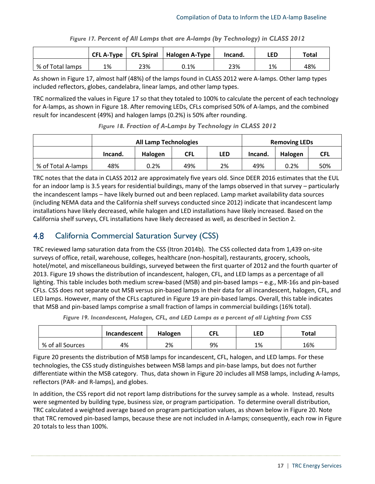<span id="page-19-1"></span>

|                  | $CFL$ A-Type |     | <b>CFL Spiral</b>   Halogen A-Type $\frac{1}{2}$ | Incand. | LED | Total |
|------------------|--------------|-----|--------------------------------------------------|---------|-----|-------|
| % of Total lamps | 1%           | 23% | $0.1\%$                                          | 23%     | 1%  | 48%   |

*Figure 17. Percent of All Lamps that are A-lamps (by Technology) in CLASS 2012*

As shown in [Figure 17,](#page-19-1) almost half (48%) of the lamps found in CLASS 2012 were A-lamps. Other lamp types included reflectors, globes, candelabra, linear lamps, and other lamp types.

TRC normalized the values in [Figure 17](#page-19-1) so that they totaled to 100% to calculate the percent of each technology for A-lamps, as shown in [Figure 18.](#page-19-2) After removing LEDs, CFLs comprised 50% of A-lamps, and the combined result for incandescent (49%) and halogen lamps (0.2%) is 50% after rounding.

<span id="page-19-2"></span>

|                    | <b>All Lamp Technologies</b> |         |            |     | <b>Removing LEDs</b> |         |     |
|--------------------|------------------------------|---------|------------|-----|----------------------|---------|-----|
|                    | Incand.                      | Halogen | <b>CFL</b> | led | Incand.              | Halogen | CFL |
| % of Total A-lamps | 48%                          | 0.2%    | 49%        | 2%  | 49%                  | 0.2%    | 50% |

*Figure 18. Fraction of A-Lamps by Technology in CLASS 2012*

TRC notes that the data in CLASS 2012 are approximately five years old. Since DEER 2016 estimates that the EUL for an indoor lamp is 3.5 years for residential buildings, many of the lamps observed in that survey – particularly the incandescent lamps – have likely burned out and been replaced. Lamp market availability data sources (including NEMA data and the California shelf surveys conducted since 2012) indicate that incandescent lamp installations have likely decreased, while halogen and LED installations have likely increased. Based on the California shelf surveys, CFL installations have likely decreased as well, as described in Sectio[n 2.](#page-4-0)

#### <span id="page-19-0"></span>4.8 California Commercial Saturation Survey (CSS)

TRC reviewed lamp saturation data from the CSS (Itron 2014b). The CSS collected data from 1,439 on-site surveys of office, retail, warehouse, colleges, healthcare (non-hospital), restaurants, grocery, schools, hotel/motel, and miscellaneous buildings, surveyed between the first quarter of 2012 and the fourth quarter of 2013[. Figure 19](#page-19-3) shows the distribution of incandescent, halogen, CFL, and LED lamps as a percentage of all lighting. This table includes both medium screw-based (MSB) and pin-based lamps – e.g., MR-16s and pin-based CFLs. CSS does not separate out MSB versus pin-based lamps in their data for all incandescent, halogen, CFL, and LED lamps. However, many of the CFLs captured in [Figure 19](#page-19-3) are pin-based lamps. Overall, this table indicates that MSB and pin-based lamps comprise a small fraction of lamps in commercial buildings (16% total).

|  | Figure 19. Incandescent, Halogen, CFL, and LED Lamps as a percent of all Lighting from CSS |  |  |
|--|--------------------------------------------------------------------------------------------|--|--|
|  |                                                                                            |  |  |

<span id="page-19-3"></span>

|                  | Incandescent | Halogen | <b>CFL</b> | LED | Total |
|------------------|--------------|---------|------------|-----|-------|
| % of all Sources | 4%           | 2%      | 9%         | 1%  | 16%   |

[Figure 20](#page-20-0) presents the distribution of MSB lamps for incandescent, CFL, halogen, and LED lamps. For these technologies, the CSS study distinguishes between MSB lamps and pin-base lamps, but does not further differentiate within the MSB category. Thus, data shown in [Figure 20](#page-20-0) includes all MSB lamps, including A-lamps, reflectors (PAR- and R-lamps), and globes.

In addition, the CSS report did not report lamp distributions for the survey sample as a whole. Instead, results were segmented by building type, business size, or program participation. To determine overall distribution, TRC calculated a weighted average based on program participation values, as shown below in [Figure 20.](#page-20-0) Note that TRC removed pin-based lamps, because these are not included in A-lamps; consequently, each row in [Figure](#page-20-0)  [20](#page-20-0) totals to less than 100%.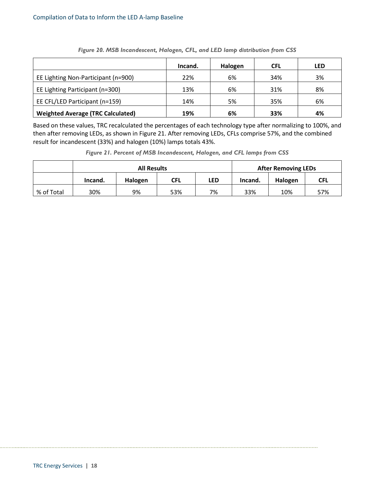<span id="page-20-0"></span>

|                                          | Incand. | Halogen | <b>CFL</b> | LED |
|------------------------------------------|---------|---------|------------|-----|
| EE Lighting Non-Participant (n=900)      | 22%     | 6%      | 34%        | 3%  |
| EE Lighting Participant (n=300)          | 13%     | 6%      | 31%        | 8%  |
| EE CFL/LED Participant (n=159)           | 14%     | 5%      | 35%        | 6%  |
| <b>Weighted Average (TRC Calculated)</b> | 19%     | 6%      | 33%        | 4%  |

*Figure 20. MSB Incandescent, Halogen, CFL, and LED lamp distribution from CSS*

Based on these values, TRC recalculated the percentages of each technology type after normalizing to 100%, and then after removing LEDs, as shown in [Figure 21.](#page-20-1) After removing LEDs, CFLs comprise 57%, and the combined result for incandescent (33%) and halogen (10%) lamps totals 43%.

*Figure 21. Percent of MSB Incandescent, Halogen, and CFL lamps from CSS*

<span id="page-20-1"></span>

|            | <b>All Results</b> |         |            |            | <b>After Removing LEDs</b> |         |            |
|------------|--------------------|---------|------------|------------|----------------------------|---------|------------|
|            | Incand.            | Halogen | <b>CFL</b> | <b>LED</b> | Incand.                    | Halogen | <b>CFL</b> |
| % of Total | 30%                | 9%      | 53%        | 7%         | 33%                        | 10%     | 57%        |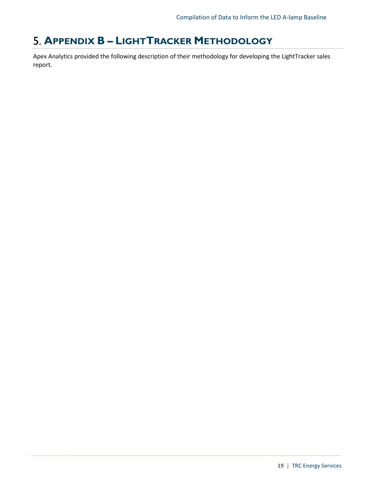# <span id="page-21-0"></span>**APPENDIX B – LIGHTTRACKER METHODOLOGY**

Apex Analytics provided the following description of their methodology for developing the LightTracker sales report.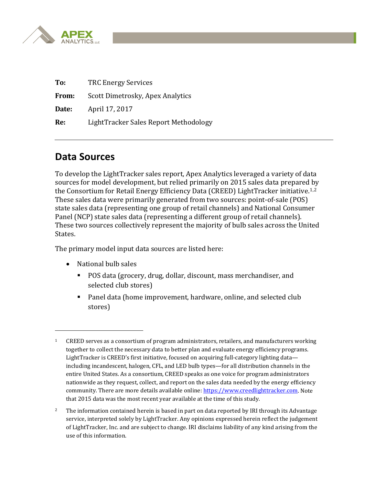

| To:          | <b>TRC Energy Services</b>            |  |
|--------------|---------------------------------------|--|
| <b>From:</b> | Scott Dimetrosky, Apex Analytics      |  |
| Date:        | April 17, 2017                        |  |
| Re:          | LightTracker Sales Report Methodology |  |

# **Data Sources**

To develop the LightTracker sales report, Apex Analytics leveraged a variety of data sources for model development, but relied primarily on 2015 sales data prepared by the Consortium for Retail Energy Efficiency Data (CREED) LightTracker initiative.[1,](#page-22-0)[2](#page-22-1) These sales data were primarily generated from two sources: point-of-sale (POS) state sales data (representing one group of retail channels) and National Consumer Panel (NCP) state sales data (representing a different group of retail channels). These two sources collectively represent the majority of bulb sales across the United States.

The primary model input data sources are listed here:

• National bulb sales

i<br>I

- POS data (grocery, drug, dollar, discount, mass merchandiser, and selected club stores)
- Panel data (home improvement, hardware, online, and selected club stores)

<span id="page-22-0"></span><sup>&</sup>lt;sup>1</sup> CREED serves as a consortium of program administrators, retailers, and manufacturers working together to collect the necessary data to better plan and evaluate energy efficiency programs. LightTracker is CREED's first initiative, focused on acquiring full-category lighting data including incandescent, halogen, CFL, and LED bulb types—for all distribution channels in the entire United States. As a consortium, CREED speaks as one voice for program administrators nationwide as they request, collect, and report on the sales data needed by the energy efficiency community. There are more details available online: [https://www.creedlighttracker.com.](https://www.creedlighttracker.com/) Note that 2015 data was the most recent year available at the time of this study.

<span id="page-22-1"></span><sup>&</sup>lt;sup>2</sup> The information contained herein is based in part on data reported by IRI through its Advantage service, interpreted solely by LightTracker. Any opinions expressed herein reflect the judgement of LightTracker, Inc. and are subject to change. IRI disclaims liability of any kind arising from the use of this information.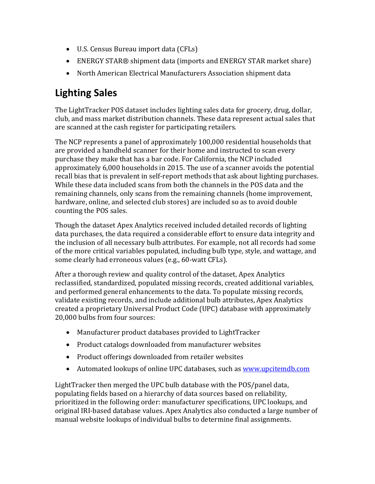- U.S. Census Bureau import data (CFLs)
- ENERGY STAR® shipment data (imports and ENERGY STAR market share)
- North American Electrical Manufacturers Association shipment data

# **Lighting Sales**

The LightTracker POS dataset includes lighting sales data for grocery, drug, dollar, club, and mass market distribution channels. These data represent actual sales that are scanned at the cash register for participating retailers.

The NCP represents a panel of approximately 100,000 residential households that are provided a handheld scanner for their home and instructed to scan every purchase they make that has a bar code. For California, the NCP included approximately 6,000 households in 2015. The use of a scanner avoids the potential recall bias that is prevalent in self-report methods that ask about lighting purchases. While these data included scans from both the channels in the POS data and the remaining channels, only scans from the remaining channels (home improvement, hardware, online, and selected club stores) are included so as to avoid double counting the POS sales.

Though the dataset Apex Analytics received included detailed records of lighting data purchases, the data required a considerable effort to ensure data integrity and the inclusion of all necessary bulb attributes. For example, not all records had some of the more critical variables populated, including bulb type, style, and wattage, and some clearly had erroneous values (e.g., 60-watt CFLs).

After a thorough review and quality control of the dataset, Apex Analytics reclassified, standardized, populated missing records, created additional variables, and performed general enhancements to the data. To populate missing records, validate existing records, and include additional bulb attributes, Apex Analytics created a proprietary Universal Product Code (UPC) database with approximately 20,000 bulbs from four sources:

- Manufacturer product databases provided to LightTracker
- Product catalogs downloaded from manufacturer websites
- Product offerings downloaded from retailer websites
- Automated lookups of online UPC databases, such as [www.upcitemdb.com](http://www.upcitemdb.com/)

LightTracker then merged the UPC bulb database with the POS/panel data, populating fields based on a hierarchy of data sources based on reliability, prioritized in the following order: manufacturer specifications, UPC lookups, and original IRI-based database values. Apex Analytics also conducted a large number of manual website lookups of individual bulbs to determine final assignments.